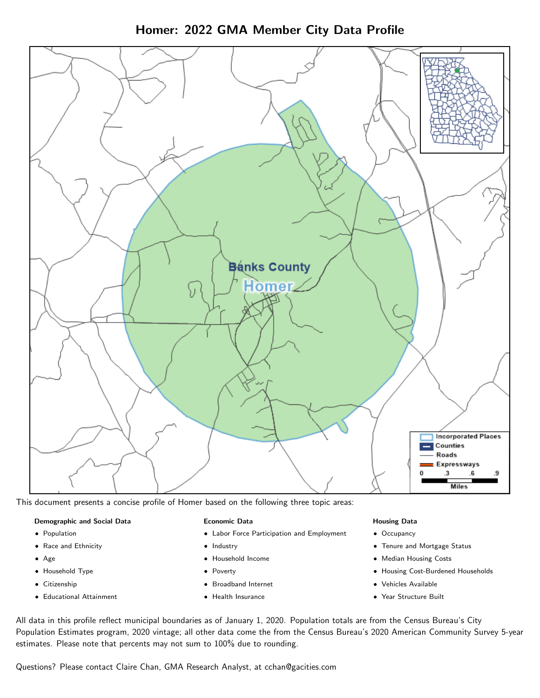Homer: 2022 GMA Member City Data Profile



This document presents a concise profile of Homer based on the following three topic areas:

#### Demographic and Social Data

- **•** Population
- Race and Ethnicity
- Age
- Household Type
- **Citizenship**
- Educational Attainment

#### Economic Data

- Labor Force Participation and Employment
- Industry
- Household Income
- Poverty
- Broadband Internet
- Health Insurance

#### Housing Data

- Occupancy
- Tenure and Mortgage Status
- Median Housing Costs
- Housing Cost-Burdened Households
- Vehicles Available
- Year Structure Built

All data in this profile reflect municipal boundaries as of January 1, 2020. Population totals are from the Census Bureau's City Population Estimates program, 2020 vintage; all other data come the from the Census Bureau's 2020 American Community Survey 5-year estimates. Please note that percents may not sum to 100% due to rounding.

Questions? Please contact Claire Chan, GMA Research Analyst, at [cchan@gacities.com.](mailto:cchan@gacities.com)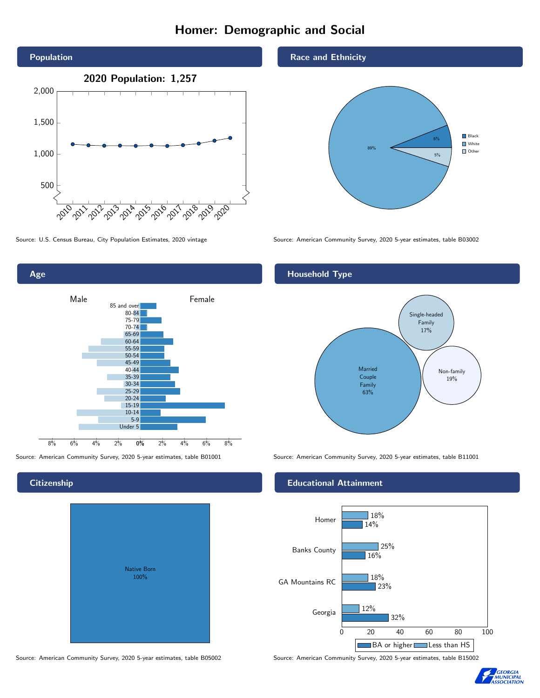# Homer: Demographic and Social



0% 2% 4% 6% 8% Male **Female** 8% 6% 4% 2% 85 and over 80-84 75-79 70-74 65-69 60-64 55-59 50-54 45-49 40-44 35-39 30-34 25-29 20-24 15-19  $10-14$ 5-9 Under 5

### **Citizenship**

Age

| <b>Native Born</b><br>100% |  |
|----------------------------|--|

Race and Ethnicity



Source: U.S. Census Bureau, City Population Estimates, 2020 vintage Source: American Community Survey, 2020 5-year estimates, table B03002

## Household Type



Source: American Community Survey, 2020 5-year estimates, table B01001 Source: American Community Survey, 2020 5-year estimates, table B11001

#### Educational Attainment



Source: American Community Survey, 2020 5-year estimates, table B05002 Source: American Community Survey, 2020 5-year estimates, table B15002

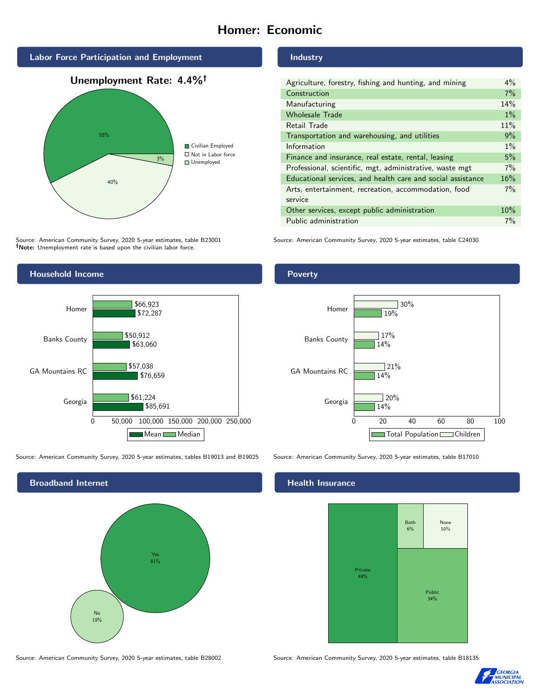# Homer: Economic







Source: American Community Survey, 2020 5-year estimates, table B23001 Note: Unemployment rate is based upon the civilian labor force.



Source: American Community Survey, 2020 5-year estimates, tables B19013 and B19025 Source: American Community Survey, 2020 5-year estimates, table B17010



#### Industry

| Agriculture, forestry, fishing and hunting, and mining      |     |
|-------------------------------------------------------------|-----|
| Construction                                                |     |
| Manufacturing                                               | 14% |
| <b>Wholesale Trade</b>                                      | 1%  |
| Retail Trade                                                | 11% |
| Transportation and warehousing, and utilities               |     |
| Information                                                 |     |
| Finance and insurance, real estate, rental, leasing         |     |
| Professional, scientific, mgt, administrative, waste mgt    |     |
| Educational services, and health care and social assistance |     |
| Arts, entertainment, recreation, accommodation, food        |     |
| service                                                     |     |
| Other services, except public administration                |     |
| Public administration                                       |     |

Source: American Community Survey, 2020 5-year estimates, table C24030

### Poverty



## **Health Insurance**



Source: American Community Survey, 2020 5-year estimates, table B28002 Source: American Community Survey, 2020 5-year estimates, table B18135